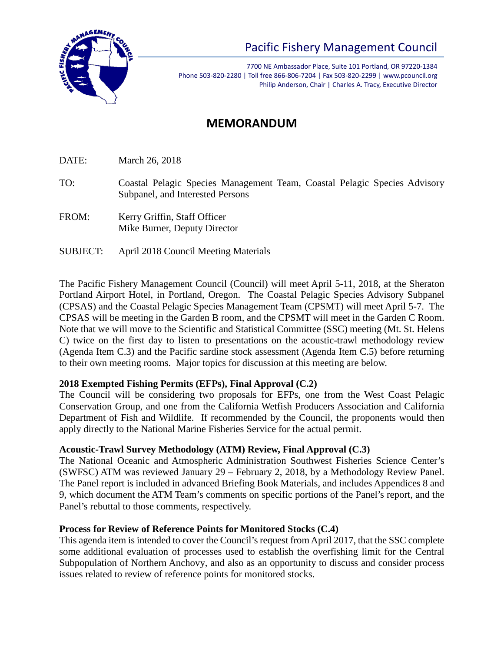

# Pacific Fishery Management Council

7700 NE Ambassador Place, Suite 101 Portland, OR 97220-1384 Phone 503-820-2280 | Toll free 866-806-7204 | Fax 503-820-2299 | www.pcouncil.org Philip Anderson, Chair | Charles A. Tracy, Executive Director

## **MEMORANDUM**

DATE: March 26, 2018

- TO: Coastal Pelagic Species Management Team, Coastal Pelagic Species Advisory Subpanel, and Interested Persons
- FROM: Kerry Griffin, Staff Officer Mike Burner, Deputy Director
- SUBJECT: April 2018 Council Meeting Materials

The Pacific Fishery Management Council (Council) will meet April 5-11, 2018, at the Sheraton Portland Airport Hotel, in Portland, Oregon. The Coastal Pelagic Species Advisory Subpanel (CPSAS) and the Coastal Pelagic Species Management Team (CPSMT) will meet April 5-7. The CPSAS will be meeting in the Garden B room, and the CPSMT will meet in the Garden C Room. Note that we will move to the Scientific and Statistical Committee (SSC) meeting (Mt. St. Helens C) twice on the first day to listen to presentations on the acoustic-trawl methodology review (Agenda Item C.3) and the Pacific sardine stock assessment (Agenda Item C.5) before returning to their own meeting rooms. Major topics for discussion at this meeting are below.

#### **2018 Exempted Fishing Permits (EFPs), Final Approval (C.2)**

The Council will be considering two proposals for EFPs, one from the West Coast Pelagic Conservation Group, and one from the California Wetfish Producers Association and California Department of Fish and Wildlife. If recommended by the Council, the proponents would then apply directly to the National Marine Fisheries Service for the actual permit.

#### **Acoustic-Trawl Survey Methodology (ATM) Review, Final Approval (C.3)**

The National Oceanic and Atmospheric Administration Southwest Fisheries Science Center's (SWFSC) ATM was reviewed January 29 – February 2, 2018, by a Methodology Review Panel. The Panel report is included in advanced Briefing Book Materials, and includes Appendices 8 and 9, which document the ATM Team's comments on specific portions of the Panel's report, and the Panel's rebuttal to those comments, respectively.

#### **Process for Review of Reference Points for Monitored Stocks (C.4)**

This agenda item is intended to cover the Council's request from April 2017, that the SSC complete some additional evaluation of processes used to establish the overfishing limit for the Central Subpopulation of Northern Anchovy, and also as an opportunity to discuss and consider process issues related to review of reference points for monitored stocks.